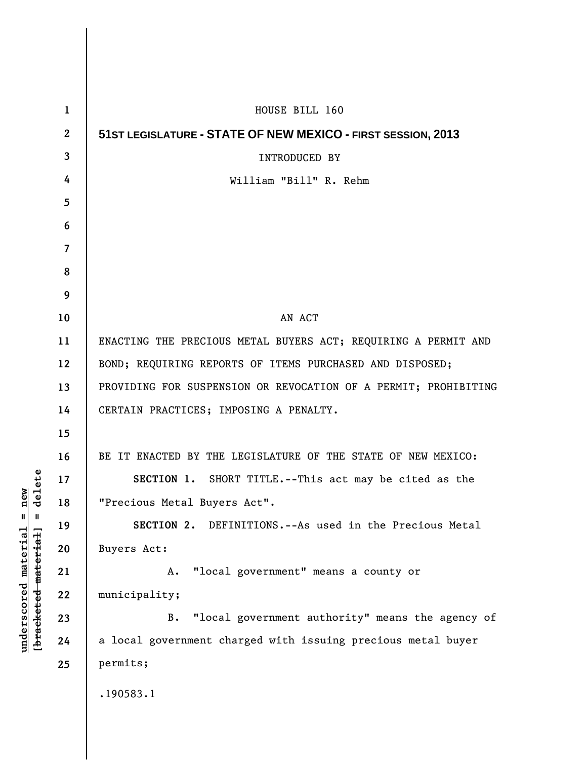| $\mathbf{1}$            | HOUSE BILL 160                                                  |
|-------------------------|-----------------------------------------------------------------|
| $\mathbf{2}$            | 51ST LEGISLATURE - STATE OF NEW MEXICO - FIRST SESSION, 2013    |
| $\overline{\mathbf{3}}$ | <b>INTRODUCED BY</b>                                            |
| 4                       | William "Bill" R. Rehm                                          |
| 5                       |                                                                 |
| 6                       |                                                                 |
| $\overline{7}$          |                                                                 |
| 8                       |                                                                 |
| 9                       |                                                                 |
| 10                      | AN ACT                                                          |
| 11                      | ENACTING THE PRECIOUS METAL BUYERS ACT; REQUIRING A PERMIT AND  |
| 12                      | BOND; REQUIRING REPORTS OF ITEMS PURCHASED AND DISPOSED;        |
| 13                      | PROVIDING FOR SUSPENSION OR REVOCATION OF A PERMIT; PROHIBITING |
| 14                      | CERTAIN PRACTICES; IMPOSING A PENALTY.                          |
| 15                      |                                                                 |
| 16                      | BE IT ENACTED BY THE LEGISLATURE OF THE STATE OF NEW MEXICO:    |
| 17                      | SECTION 1. SHORT TITLE. -- This act may be cited as the         |
| 18                      | "Precious Metal Buyers Act".                                    |
| 19                      | SECTION 2. DEFINITIONS.--As used in the Precious Metal          |
| 20                      | Buyers Act:                                                     |
| 21                      | "local government" means a county or<br>A.                      |
| 22                      | municipality;                                                   |
| 23                      | "local government authority" means the agency of<br><b>B.</b>   |
| 24                      | a local government charged with issuing precious metal buyer    |
| 25                      | permits;                                                        |
|                         | .190583.1                                                       |
|                         |                                                                 |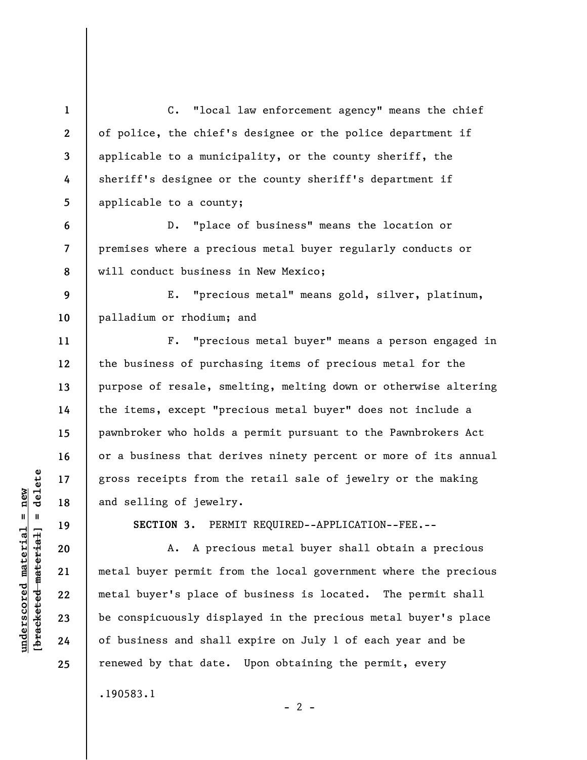**1 2 3 4 5 6 7 8 9 10 11 12 13 14 15 16 17 18 19 20 21 22 23 24 25**  C. "local law enforcement agency" means the chief of police, the chief's designee or the police department if applicable to a municipality, or the county sheriff, the sheriff's designee or the county sheriff's department if applicable to a county; D. "place of business" means the location or premises where a precious metal buyer regularly conducts or will conduct business in New Mexico; E. "precious metal" means gold, silver, platinum, palladium or rhodium; and F. "precious metal buyer" means a person engaged in the business of purchasing items of precious metal for the purpose of resale, smelting, melting down or otherwise altering the items, except "precious metal buyer" does not include a pawnbroker who holds a permit pursuant to the Pawnbrokers Act or a business that derives ninety percent or more of its annual gross receipts from the retail sale of jewelry or the making and selling of jewelry. **SECTION 3.** PERMIT REQUIRED--APPLICATION--FEE.-- A. A precious metal buyer shall obtain a precious metal buyer permit from the local government where the precious metal buyer's place of business is located. The permit shall be conspicuously displayed in the precious metal buyer's place of business and shall expire on July 1 of each year and be renewed by that date. Upon obtaining the permit, every

.190583.1

 $\frac{1}{2}$  of  $\frac{1}{2}$  and  $\frac{1}{2}$  and  $\frac{1}{2}$  and  $\frac{1}{2}$  and  $\frac{1}{2}$  and  $\frac{1}{2}$  and  $\frac{1}{2}$  and  $\frac{1}{2}$  and  $\frac{1}{2}$  and  $\frac{1}{2}$  and  $\frac{1}{2}$  and  $\frac{1}{2}$  and  $\frac{1}{2}$  and  $\frac{1}{2}$  and  $\frac{1}{2}$  an **[bracketed material] = delete**  $underscored material = new$ **underscored material = new**

 $- 2 -$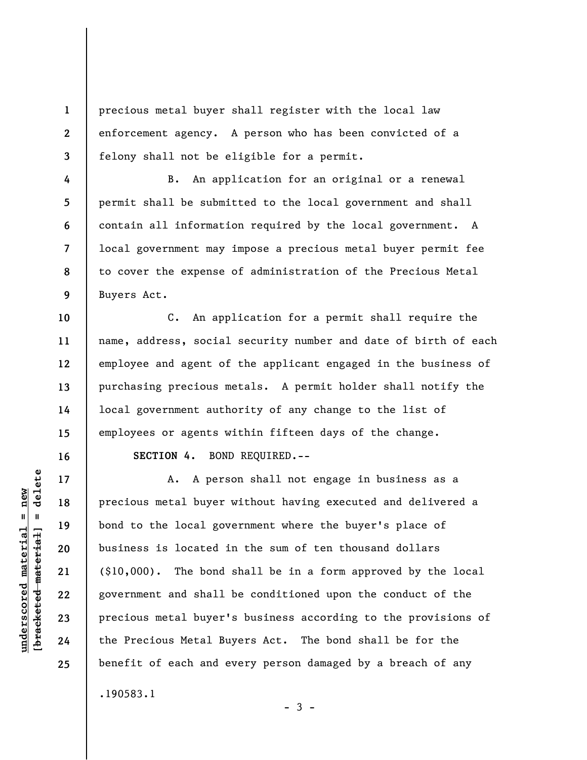precious metal buyer shall register with the local law enforcement agency. A person who has been convicted of a felony shall not be eligible for a permit.

B. An application for an original or a renewal permit shall be submitted to the local government and shall contain all information required by the local government. A local government may impose a precious metal buyer permit fee to cover the expense of administration of the Precious Metal Buyers Act.

**12**  C. An application for a permit shall require the name, address, social security number and date of birth of each employee and agent of the applicant engaged in the business of purchasing precious metals. A permit holder shall notify the local government authority of any change to the list of employees or agents within fifteen days of the change.

**SECTION 4.** BOND REQUIRED.--

A. A person shall not engage in business as a precious metal buyer without having executed and delivered a bond to the local government where the buyer's place of business is located in the sum of ten thousand dollars (\$10,000). The bond shall be in a form approved by the local government and shall be conditioned upon the conduct of the precious metal buyer's business according to the provisions of the Precious Metal Buyers Act. The bond shall be for the benefit of each and every person damaged by a breach of any .190583.1

delete **[bracketed material] = delete**  $underscored material = new$ **underscored material = new**  $\frac{1}{2}$ 

**1** 

**2** 

**3** 

**4** 

**5** 

**6** 

**7** 

**8** 

**9** 

**10** 

**11** 

**13** 

**14** 

**15** 

**16** 

**17** 

**18** 

**19** 

**20** 

**21** 

**22** 

**23** 

**24** 

**25** 

 $-3 -$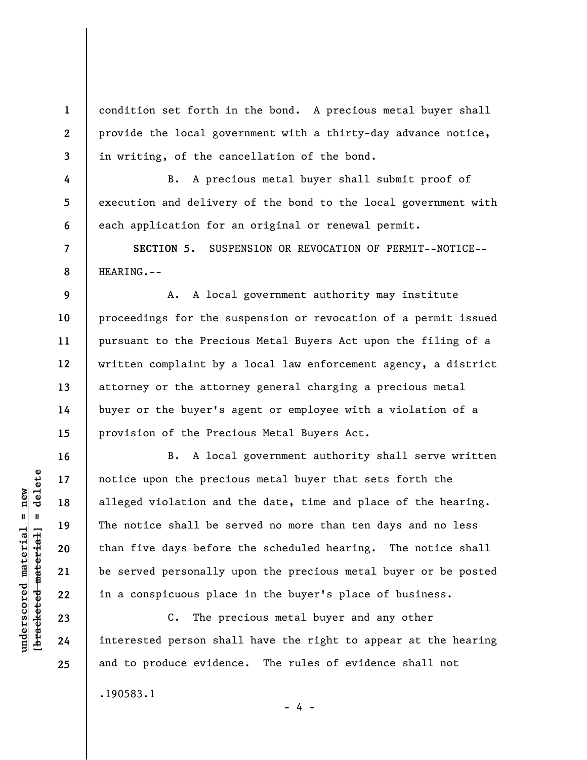condition set forth in the bond. A precious metal buyer shall provide the local government with a thirty-day advance notice, in writing, of the cancellation of the bond.

B. A precious metal buyer shall submit proof of execution and delivery of the bond to the local government with each application for an original or renewal permit.

**SECTION 5.** SUSPENSION OR REVOCATION OF PERMIT--NOTICE-- HEARING.--

**9 10 11 12 13 14 15**  A. A local government authority may institute proceedings for the suspension or revocation of a permit issued pursuant to the Precious Metal Buyers Act upon the filing of a written complaint by a local law enforcement agency, a district attorney or the attorney general charging a precious metal buyer or the buyer's agent or employee with a violation of a provision of the Precious Metal Buyers Act.

B. A local government authority shall serve written notice upon the precious metal buyer that sets forth the alleged violation and the date, time and place of the hearing. The notice shall be served no more than ten days and no less than five days before the scheduled hearing. The notice shall be served personally upon the precious metal buyer or be posted in a conspicuous place in the buyer's place of business.

C. The precious metal buyer and any other interested person shall have the right to appear at the hearing and to produce evidence. The rules of evidence shall not

- 4 -

.190583.1

 $\frac{1}{2}$  intereted material = delete **[bracketed material] = delete**  $underscored material = new$ **underscored material = new**

**1** 

**2** 

**3** 

**4** 

**5** 

**6** 

**7** 

**8** 

**16** 

**17** 

**18** 

**19** 

**20** 

**21** 

**22** 

**23** 

**24** 

**25**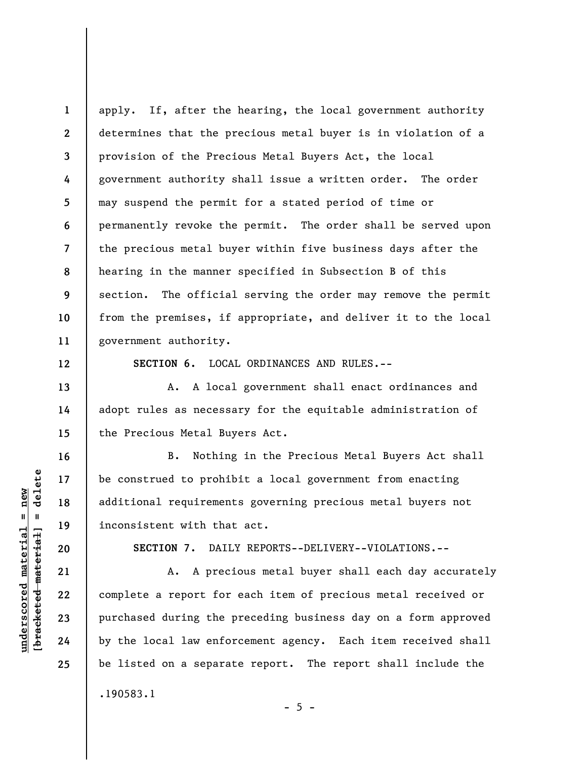**1 2 3 4 5 6 7 8 9 10 11**  apply. If, after the hearing, the local government authority determines that the precious metal buyer is in violation of a provision of the Precious Metal Buyers Act, the local government authority shall issue a written order. The order may suspend the permit for a stated period of time or permanently revoke the permit. The order shall be served upon the precious metal buyer within five business days after the hearing in the manner specified in Subsection B of this section. The official serving the order may remove the permit from the premises, if appropriate, and deliver it to the local government authority.

**SECTION 6.** LOCAL ORDINANCES AND RULES.--

A. A local government shall enact ordinances and adopt rules as necessary for the equitable administration of the Precious Metal Buyers Act.

B. Nothing in the Precious Metal Buyers Act shall be construed to prohibit a local government from enacting additional requirements governing precious metal buyers not inconsistent with that act.

**SECTION 7.** DAILY REPORTS--DELIVERY--VIOLATIONS.--

 A. A precious metal buyer shall each day accurately complete a report for each item of precious metal received or purchased during the preceding business day on a form approved by the local law enforcement agency. Each item received shall be listed on a separate report. The report shall include the .190583.1

 $\frac{1}{2}$  of  $\frac{1}{2}$  and  $\frac{1}{2}$  and  $\frac{1}{2}$  and  $\frac{1}{2}$  and  $\frac{1}{2}$  and  $\frac{1}{2}$  and  $\frac{1}{2}$  and  $\frac{1}{2}$  and  $\frac{1}{2}$  and  $\frac{1}{2}$  and  $\frac{1}{2}$  and  $\frac{1}{2}$  and  $\frac{1}{2}$  and  $\frac{1}{2}$  and  $\frac{1}{2}$  an **[bracketed material] = delete**  $underscored material = new$ **underscored material = new**

**12** 

**13** 

**14** 

**15** 

**16** 

**17** 

**18** 

**19** 

**20** 

**21** 

**22** 

**23** 

**24** 

**25** 

 $- 5 -$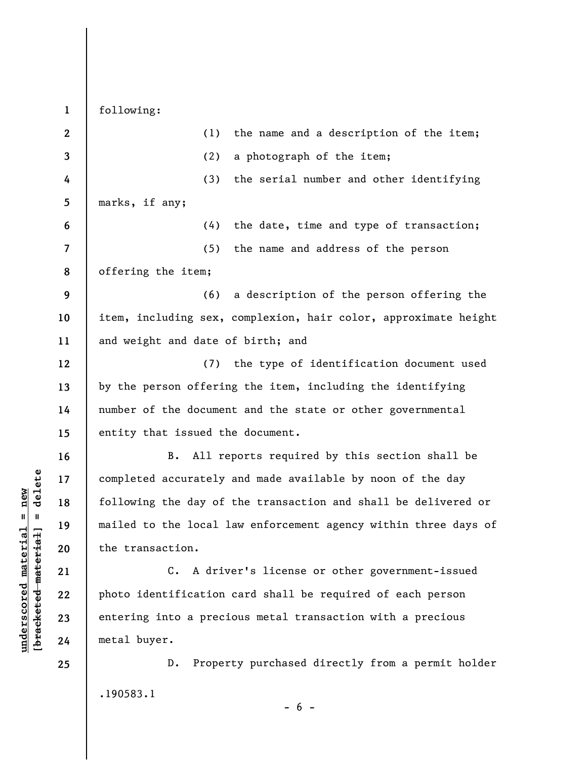following:

**1** 

| $\overline{2}$           | (1)<br>the name and a description of the item;                  |
|--------------------------|-----------------------------------------------------------------|
| 3                        | (2)<br>a photograph of the item;                                |
| 4                        | (3)<br>the serial number and other identifying                  |
| 5                        | marks, if any;                                                  |
| 6                        | the date, time and type of transaction;<br>(4)                  |
| $\overline{\phantom{a}}$ | (5)<br>the name and address of the person                       |
| 8                        | offering the item;                                              |
| 9                        | a description of the person offering the<br>(6)                 |
| 10                       | item, including sex, complexion, hair color, approximate height |
| 11                       | and weight and date of birth; and                               |
| 12                       | (7) the type of identification document used                    |
| 13                       | by the person offering the item, including the identifying      |
| 14                       | number of the document and the state or other governmental      |
| 15                       | entity that issued the document.                                |
| 16                       | All reports required by this section shall be<br>В.             |
| 17                       | completed accurately and made available by noon of the day      |
| 18                       | following the day of the transaction and shall be delivered or  |
| 19                       | mailed to the local law enforcement agency within three days of |
| 20                       | the transaction.                                                |
| 21                       | C. A driver's license or other government-issued                |
| 22                       | photo identification card shall be required of each person      |
| 23                       | entering into a precious metal transaction with a precious      |
| 24                       | metal buyer.                                                    |
| 25                       | Property purchased directly from a permit holder<br>D.          |
|                          | .190583.1                                                       |

 $[**bracket**et~~eted matcherial~~] = **delete**$ **[bracketed material] = delete**

**underscored material = new**

 $underscored material = new$ 

 $- 6 -$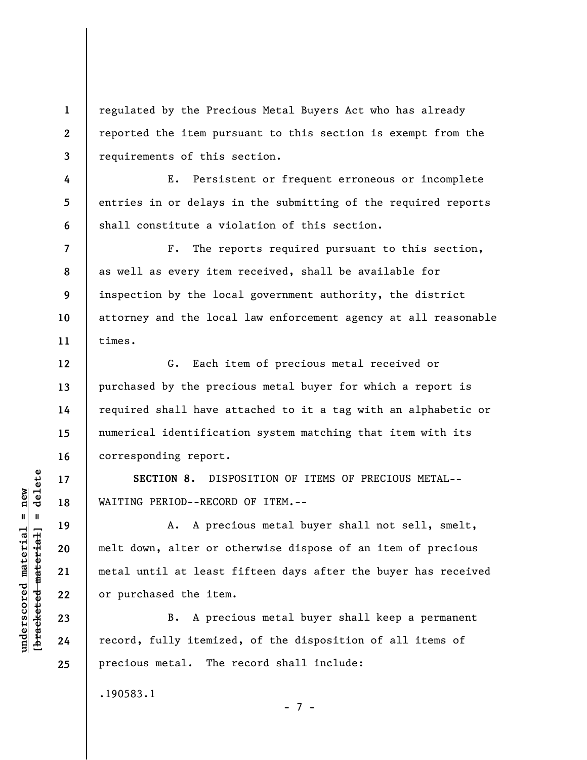**1 2 3**  regulated by the Precious Metal Buyers Act who has already reported the item pursuant to this section is exempt from the requirements of this section.

E. Persistent or frequent erroneous or incomplete entries in or delays in the submitting of the required reports shall constitute a violation of this section.

F. The reports required pursuant to this section, as well as every item received, shall be available for inspection by the local government authority, the district attorney and the local law enforcement agency at all reasonable times.

G. Each item of precious metal received or purchased by the precious metal buyer for which a report is required shall have attached to it a tag with an alphabetic or numerical identification system matching that item with its corresponding report.

**SECTION 8.** DISPOSITION OF ITEMS OF PRECIOUS METAL-- WAITING PERIOD--RECORD OF ITEM.--

A. A precious metal buyer shall not sell, smelt, melt down, alter or otherwise dispose of an item of precious metal until at least fifteen days after the buyer has received or purchased the item.

B. A precious metal buyer shall keep a permanent record, fully itemized, of the disposition of all items of precious metal. The record shall include:

- 7 -

.190583.1

 $b$ racketed material] = delete **[bracketed material] = delete**  $underscored material = new$ **underscored material = new**

**4** 

**5** 

**6** 

**7** 

**8** 

**9** 

**10** 

**11** 

**12** 

**13** 

**14** 

**15** 

**16** 

**17** 

**18** 

**19** 

**20** 

**21** 

**22** 

**23** 

**24** 

**25**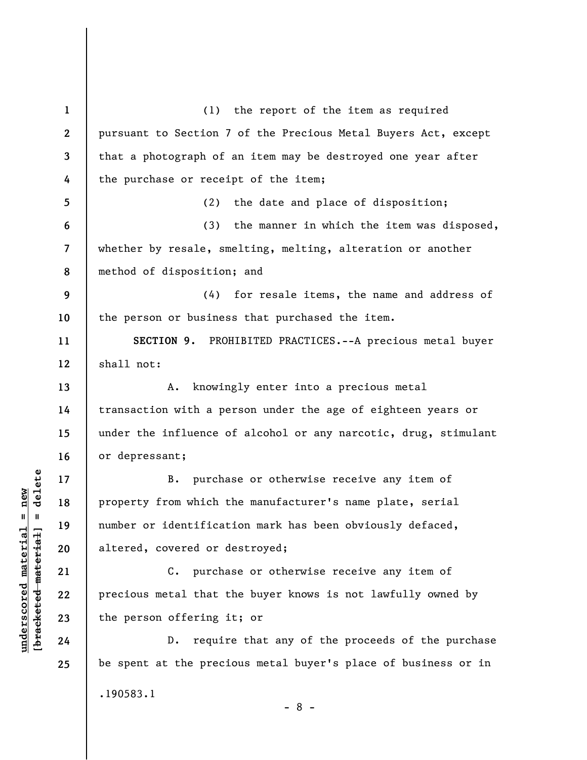**1 2 3 4 5 6 7 8 9 10 11 12 13 14 15 16 17 18 19 20 21 22 23 24 25**  (1) the report of the item as required pursuant to Section 7 of the Precious Metal Buyers Act, except that a photograph of an item may be destroyed one year after the purchase or receipt of the item; (2) the date and place of disposition; (3) the manner in which the item was disposed, whether by resale, smelting, melting, alteration or another method of disposition; and (4) for resale items, the name and address of the person or business that purchased the item. **SECTION 9.** PROHIBITED PRACTICES.--A precious metal buyer shall not: A. knowingly enter into a precious metal transaction with a person under the age of eighteen years or under the influence of alcohol or any narcotic, drug, stimulant or depressant; B. purchase or otherwise receive any item of property from which the manufacturer's name plate, serial number or identification mark has been obviously defaced, altered, covered or destroyed; C. purchase or otherwise receive any item of precious metal that the buyer knows is not lawfully owned by the person offering it; or D. require that any of the proceeds of the purchase be spent at the precious metal buyer's place of business or in .190583.1 - 8 -

 $\frac{1}{2}$  intereted material = delete **[bracketed material] = delete**  $underscored material = new$ **underscored material = new**